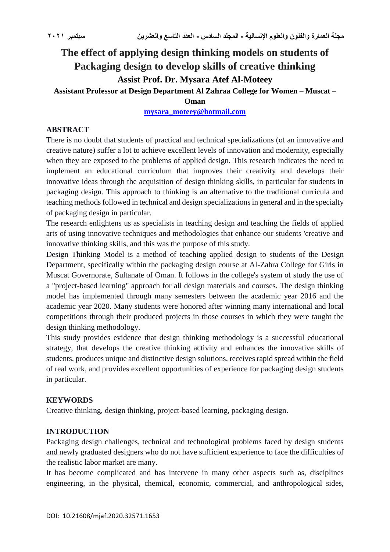# **The effect of applying design thinking models on students of Packaging design to develop skills of creative thinking Assist Prof. Dr. Mysara Atef Al-Moteey Assistant Professor at Design Department Al Zahraa College for Women – Muscat –**

## **Oman**

## **[mysara\\_moteey@hotmail.com](mailto:mysara_moteey@hotmail.com)**

#### **ABSTRACT**

There is no doubt that students of practical and technical specializations (of an innovative and creative nature) suffer a lot to achieve excellent levels of innovation and modernity, especially when they are exposed to the problems of applied design. This research indicates the need to implement an educational curriculum that improves their creativity and develops their innovative ideas through the acquisition of design thinking skills, in particular for students in packaging design. This approach to thinking is an alternative to the traditional curricula and teaching methods followed in technical and design specializations in general and in the specialty of packaging design in particular.

The research enlightens us as specialists in teaching design and teaching the fields of applied arts of using innovative techniques and methodologies that enhance our students 'creative and innovative thinking skills, and this was the purpose of this study.

Design Thinking Model is a method of teaching applied design to students of the Design Department, specifically within the packaging design course at Al-Zahra College for Girls in Muscat Governorate, Sultanate of Oman. It follows in the college's system of study the use of a "project-based learning" approach for all design materials and courses. The design thinking model has implemented through many semesters between the academic year 2016 and the academic year 2020. Many students were honored after winning many international and local competitions through their produced projects in those courses in which they were taught the design thinking methodology.

This study provides evidence that design thinking methodology is a successful educational strategy, that develops the creative thinking activity and enhances the innovative skills of students, produces unique and distinctive design solutions, receives rapid spread within the field of real work, and provides excellent opportunities of experience for packaging design students in particular.

## **KEYWORDS**

Creative thinking, design thinking, project-based learning, packaging design.

## **INTRODUCTION**

Packaging design challenges, technical and technological problems faced by design students and newly graduated designers who do not have sufficient experience to face the difficulties of the realistic labor market are many.

It has become complicated and has intervene in many other aspects such as, disciplines engineering, in the physical, chemical, economic, commercial, and anthropological sides,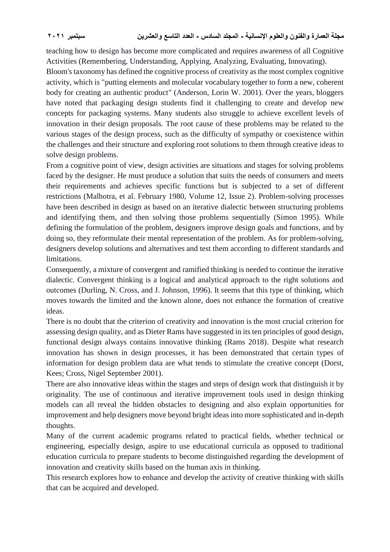teaching how to design has become more complicated and requires awareness of all Cognitive Activities (Remembering, Understanding, Applying, Analyzing, Evaluating, Innovating).

Bloom's taxonomy has defined the cognitive process of creativity as the most complex cognitive activity, which is "putting elements and molecular vocabulary together to form a new, coherent body for creating an authentic product" (Anderson, Lorin W. 2001). Over the years, bloggers have noted that packaging design students find it challenging to create and develop new concepts for packaging systems. Many students also struggle to achieve excellent levels of innovation in their design proposals. The root cause of these problems may be related to the various stages of the design process, such as the difficulty of sympathy or coexistence within the challenges and their structure and exploring root solutions to them through creative ideas to solve design problems.

From a cognitive point of view, design activities are situations and stages for solving problems faced by the designer. He must produce a solution that suits the needs of consumers and meets their requirements and achieves specific functions but is subjected to a set of different restrictions (Malhotra, et al. February 1980, Volume 12, Issue 2). Problem-solving processes have been described in design as based on an iterative dialectic between structuring problems and identifying them, and then solving those problems sequentially (Simon 1995). While defining the formulation of the problem, designers improve design goals and functions, and by doing so, they reformulate their mental representation of the problem. As for problem-solving, designers develop solutions and alternatives and test them according to different standards and limitations.

Consequently, a mixture of convergent and ramified thinking is needed to continue the iterative dialectic. Convergent thinking is a logical and analytical approach to the right solutions and outcomes (Durling, N. Cross, and J. Johnson, 1996). It seems that this type of thinking, which moves towards the limited and the known alone, does not enhance the formation of creative ideas.

There is no doubt that the criterion of creativity and innovation is the most crucial criterion for assessing design quality, and as Dieter Rams have suggested in its ten principles of good design, functional design always contains innovative thinking (Rams 2018). Despite what research innovation has shown in design processes, it has been demonstrated that certain types of information for design problem data are what tends to stimulate the creative concept (Dorst, Kees; Cross, Nigel September 2001).

There are also innovative ideas within the stages and steps of design work that distinguish it by originality. The use of continuous and iterative improvement tools used in design thinking models can all reveal the hidden obstacles to designing and also explain opportunities for improvement and help designers move beyond bright ideas into more sophisticated and in-depth thoughts.

Many of the current academic programs related to practical fields, whether technical or engineering, especially design, aspire to use educational curricula as opposed to traditional education curricula to prepare students to become distinguished regarding the development of innovation and creativity skills based on the human axis in thinking.

This research explores how to enhance and develop the activity of creative thinking with skills that can be acquired and developed.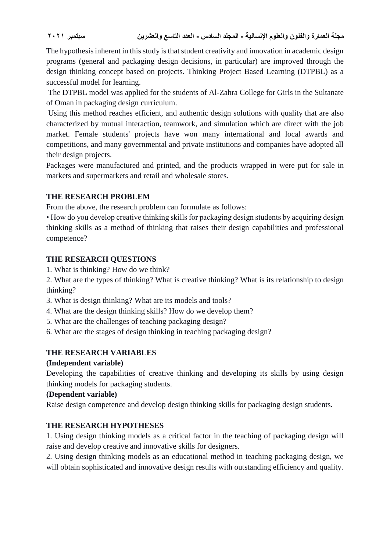The hypothesis inherent in this study is that student creativity and innovation in academic design programs (general and packaging design decisions, in particular) are improved through the design thinking concept based on projects. Thinking Project Based Learning (DTPBL) as a successful model for learning.

The DTPBL model was applied for the students of Al-Zahra College for Girls in the Sultanate of Oman in packaging design curriculum.

Using this method reaches efficient, and authentic design solutions with quality that are also characterized by mutual interaction, teamwork, and simulation which are direct with the job market. Female students' projects have won many international and local awards and competitions, and many governmental and private institutions and companies have adopted all their design projects.

Packages were manufactured and printed, and the products wrapped in were put for sale in markets and supermarkets and retail and wholesale stores.

# **THE RESEARCH PROBLEM**

From the above, the research problem can formulate as follows:

• How do you develop creative thinking skills for packaging design students by acquiring design thinking skills as a method of thinking that raises their design capabilities and professional competence?

# **THE RESEARCH QUESTIONS**

1. What is thinking? How do we think?

2. What are the types of thinking? What is creative thinking? What is its relationship to design thinking?

- 3. What is design thinking? What are its models and tools?
- 4. What are the design thinking skills? How do we develop them?
- 5. What are the challenges of teaching packaging design?
- 6. What are the stages of design thinking in teaching packaging design?

# **THE RESEARCH VARIABLES**

## **(Independent variable)**

Developing the capabilities of creative thinking and developing its skills by using design thinking models for packaging students.

## **(Dependent variable)**

Raise design competence and develop design thinking skills for packaging design students.

# **THE RESEARCH HYPOTHESES**

1. Using design thinking models as a critical factor in the teaching of packaging design will raise and develop creative and innovative skills for designers.

2. Using design thinking models as an educational method in teaching packaging design, we will obtain sophisticated and innovative design results with outstanding efficiency and quality.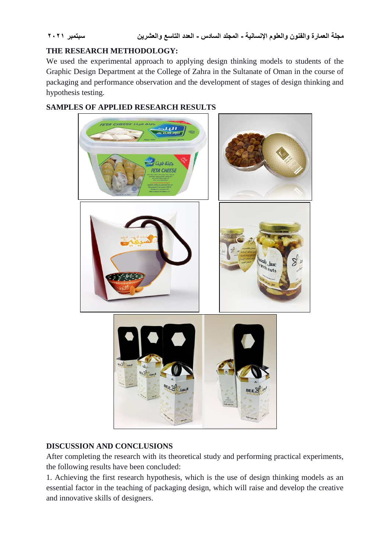# **THE RESEARCH METHODOLOGY:**

We used the experimental approach to applying design thinking models to students of the Graphic Design Department at the College of Zahra in the Sultanate of Oman in the course of packaging and performance observation and the development of stages of design thinking and hypothesis testing.

# **SAMPLES OF APPLIED RESEARCH RESULTS**



## **DISCUSSION AND CONCLUSIONS**

After completing the research with its theoretical study and performing practical experiments, the following results have been concluded:

1. Achieving the first research hypothesis, which is the use of design thinking models as an essential factor in the teaching of packaging design, which will raise and develop the creative and innovative skills of designers.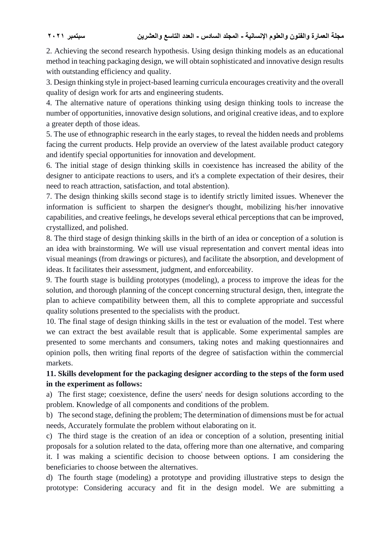2. Achieving the second research hypothesis. Using design thinking models as an educational method in teaching packaging design, we will obtain sophisticated and innovative design results with outstanding efficiency and quality.

3. Design thinking style in project-based learning curricula encourages creativity and the overall quality of design work for arts and engineering students.

4. The alternative nature of operations thinking using design thinking tools to increase the number of opportunities, innovative design solutions, and original creative ideas, and to explore a greater depth of those ideas.

5. The use of ethnographic research in the early stages, to reveal the hidden needs and problems facing the current products. Help provide an overview of the latest available product category and identify special opportunities for innovation and development.

6. The initial stage of design thinking skills in coexistence has increased the ability of the designer to anticipate reactions to users, and it's a complete expectation of their desires, their need to reach attraction, satisfaction, and total abstention).

7. The design thinking skills second stage is to identify strictly limited issues. Whenever the information is sufficient to sharpen the designer's thought, mobilizing his/her innovative capabilities, and creative feelings, he develops several ethical perceptions that can be improved, crystallized, and polished.

8. The third stage of design thinking skills in the birth of an idea or conception of a solution is an idea with brainstorming. We will use visual representation and convert mental ideas into visual meanings (from drawings or pictures), and facilitate the absorption, and development of ideas. It facilitates their assessment, judgment, and enforceability.

9. The fourth stage is building prototypes (modeling), a process to improve the ideas for the solution, and thorough planning of the concept concerning structural design, then, integrate the plan to achieve compatibility between them, all this to complete appropriate and successful quality solutions presented to the specialists with the product.

10. The final stage of design thinking skills in the test or evaluation of the model. Test where we can extract the best available result that is applicable. Some experimental samples are presented to some merchants and consumers, taking notes and making questionnaires and opinion polls, then writing final reports of the degree of satisfaction within the commercial markets.

# **11. Skills development for the packaging designer according to the steps of the form used in the experiment as follows:**

a) The first stage; coexistence, define the users' needs for design solutions according to the problem. Knowledge of all components and conditions of the problem.

b) The second stage, defining the problem; The determination of dimensions must be for actual needs, Accurately formulate the problem without elaborating on it.

c) The third stage is the creation of an idea or conception of a solution, presenting initial proposals for a solution related to the data, offering more than one alternative, and comparing it. I was making a scientific decision to choose between options. I am considering the beneficiaries to choose between the alternatives.

d) The fourth stage (modeling) a prototype and providing illustrative steps to design the prototype: Considering accuracy and fit in the design model. We are submitting a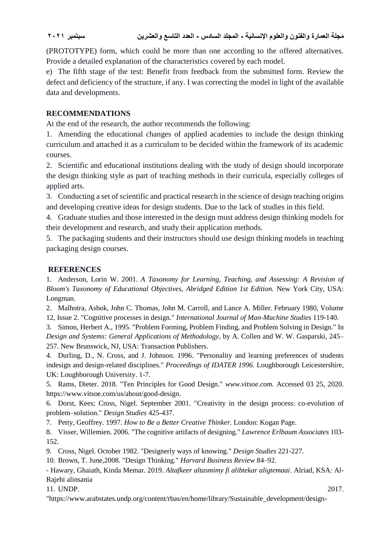# **مجلة العمارة والفنون والعلوم اإلنسانية - المجلد السادس - العدد التاسع والعشرين سبتمبر 2021**

(PROTOTYPE) form, which could be more than one according to the offered alternatives. Provide a detailed explanation of the characteristics covered by each model.

e) The fifth stage of the test: Benefit from feedback from the submitted form. Review the defect and deficiency of the structure, if any. I was correcting the model in light of the available data and developments.

# **RECOMMENDATIONS**

At the end of the research, the author recommends the following:

1. Amending the educational changes of applied academies to include the design thinking curriculum and attached it as a curriculum to be decided within the framework of its academic courses.

2. Scientific and educational institutions dealing with the study of design should incorporate the design thinking style as part of teaching methods in their curricula, especially colleges of applied arts.

3. Conducting a set of scientific and practical research in the science of design teaching origins and developing creative ideas for design students. Due to the lack of studies in this field.

4. Graduate studies and those interested in the design must address design thinking models for their development and research, and study their application methods.

5. The packaging students and their instructors should use design thinking models in teaching packaging design courses.

## **REFERENCES**

1. Anderson, Lorin W. 2001. *A Taxonomy for Learning, Teaching, and Assessing: A Revision of Bloom's Taxonomy of Educational Objectives, Abridged Edition 1st Edition.* New York City, USA: Longman.

2. Malhotra, Ashok, John C. Thomas, John M. Carroll, and Lance A. Miller. February 1980, Volume 12, Issue 2. "Cognitive processes in design." *International Journal of Man-Machine Studies* 119-140.

3. Simon, Herbert A., 1995. "Problem Forming, Problem Finding, and Problem Solving in Design." In *Design and Systems: General Applications of Methodology*, by A. Collen and W. W. Gasparski, 245– 257. New Brunswick, NJ, USA: Transaction Publishers.

4. Durling, D., N. Cross, and J. Johnson. 1996. "Personality and learning preferences of students indesign and design-related disciplines." *Proceedings of IDATER 1996.* Loughborough Leicestershire, UK: Loughborough University. 1-7.

5. Rams, Dieter. 2018. "Ten Principles for Good Design." *www.vitsoe.com.* Accessed 03 25, 2020. https://www.vitsoe.com/us/about/good-design.

6. Dorst, Kees; Cross, Nigel. September 2001. "Creativity in the design process: co-evolution of problem–solution." *Design Studies* 425-437.

7. Petty, Geoffrey. 1997. *How to Be a Better Creative Thinker.* London: Kogan Page.

8. Visser, Willemien. 2006. "The cognitive artifacts of designing." *Lawrence Erlbaum Associates* 103- 152.

9. Cross, Nigel. October 1982. "Designerly ways of knowing." *Design Studies* 221-227.

10. Brown, T. June,2008. "Design Thinking." *Harvard Business Review* 84–92.

- Hawary, Ghaiath, Kinda Memar. 2019. *Altafkeer altasmimy fi alibtekar aligtemaai*. Alriad, KSA: Al-Rajehi alinsania

11. UNDP. 2017.

"https://www.arabstates.undp.org/content/rbas/en/home/library/Sustainable\_development/design-